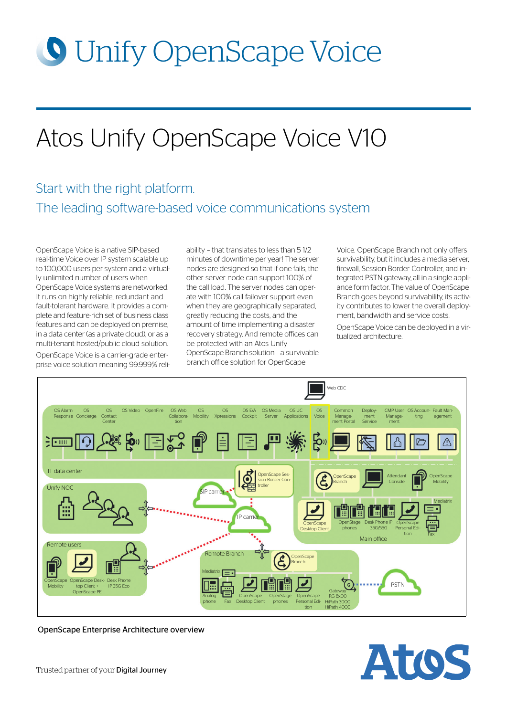# **O** Unify OpenScape Voice

# Atos Unify OpenScape Voice V10

# Start with the right platform. The leading software-based voice communications system

OpenScape Voice is a native SIP-based real-time Voice over IP system scalable up to 100,000 users per system and a virtually unlimited number of users when OpenScape Voice systems are networked. It runs on highly reliable, redundant and fault-tolerant hardware. It provides a complete and feature-rich set of business class features and can be deployed on premise, in a data center (as a private cloud), or as a multi-tenant hosted/public cloud solution.

OpenScape Voice is a carrier-grade enterprise voice solution meaning 99.999% reliability – that translates to less than 5 1/2 minutes of downtime per year! The server nodes are designed so that if one fails, the other server node can support 100% of the call load. The server nodes can operate with 100% call failover support even when they are geographically separated, greatly reducing the costs, and the amount of time implementing a disaster recovery strategy. And remote offices can be protected with an Atos Unify OpenScape Branch solution – a survivable branch office solution for OpenScape

Voice. OpenScape Branch not only offers survivability, but it includes a media server, firewall, Session Border Controller, and integrated PSTN gateway, all in a single appliance form factor. The value of OpenScape Branch goes beyond survivability, its activity contributes to lower the overall deployment, bandwidth and service costs.

OpenScape Voice can be deployed in a virtualized architecture.



OpenScape Enterprise Architecture overview

Atos

Trusted partner of your Digital Journey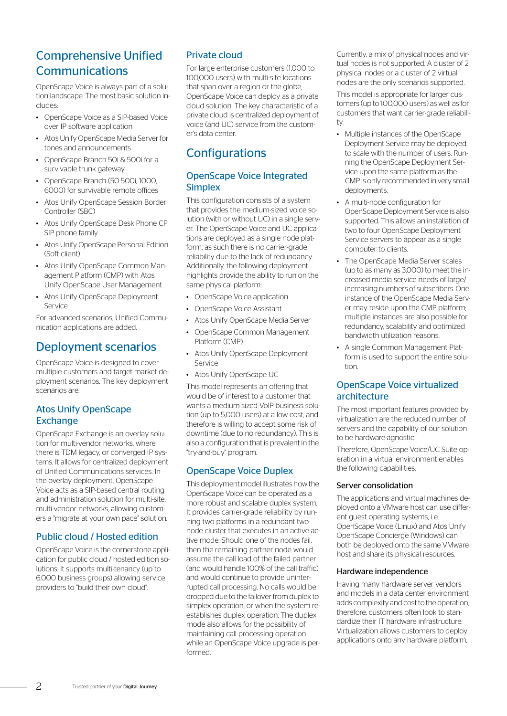# Comprehensive Unified Communications

OpenScape Voice is always part of a solution landscape. The most basic solution includes:

- OpenScape Voice as a SIP-based Voice over IP software application
- Atos Unify OpenScape Media Server for tones and announcements
- OpenScape Branch 50i & 500i for a survivable trunk gateway
- OpenScape Branch (50 500i, 1000, 6000) for survivable remote offices
- Atos Unify OpenScape Session Border Controller (SBC)
- Atos Unify OpenScape Desk Phone CP SIP phone family
- Atos Unify OpenScape Personal Edition (Soft client)
- Atos Unify OpenScape Common Management Platform (CMP) with Atos Unify OpenScape User Management
- Atos Unify OpenScape Deployment Service

For advanced scenarios, Unified Communication applications are added.

# Deployment scenarios

OpenScape Voice is designed to cover multiple customers and target market deployment scenarios. The key deployment scenarios are:

# Atos Unify OpenScape **Exchange**

OpenScape Exchange is an overlay solution for multi-vendor networks, where there is TDM legacy, or converged IP systems. It allows for centralized deployment of Unified Communications services. In the overlay deployment, OpenScape Voice acts as a SIP-based central routing and administration solution for multi-site, multi-vendor networks, allowing customers a "migrate at your own pace" solution.

# Public cloud / Hosted edition

OpenScape Voice is the cornerstone application for public cloud / hosted edition solutions. It supports multi-tenancy (up to 6,000 business groups) allowing service providers to "build their own cloud".

# Private cloud

For large enterprise customers (1,000 to 100,000 users) with multi-site locations that span over a region or the globe, OpenScape Voice can deploy as a private cloud solution. The key characteristic of a private cloud is centralized deployment of voice (and UC) service from the customer's data center.

# **Configurations**

## OpenScape Voice Integrated **Simplex**

This configuration consists of a system that provides the medium-sized voice solution (with or without UC) in a single server. The OpenScape Voice and UC applications are deployed as a single node platform; as such there is no carrier-grade reliability due to the lack of redundancy. Additionally, the following deployment highlights provide the ability to run on the same physical platform:

- OpenScape Voice application
- OpenScape Voice Assistant
- Atos Unify OpenScape Media Server
- OpenScape Common Management Platform (CMP)
- Atos Unify OpenScape Deployment Service
- Atos Unify OpenScape UC

This model represents an offering that would be of interest to a customer that wants a medium sized VoIP business solution (up to 5,000 users) at a low cost, and therefore is willing to accept some risk of downtime (due to no redundancy). This is also a configuration that is prevalent in the "try-and-buy" program.

# OpenScape Voice Duplex

This deployment model illustrates how the OpenScape Voice can be operated as a more robust and scalable duplex system. It provides carrier-grade reliability by running two platforms in a redundant twonode cluster that executes in an active-active mode. Should one of the nodes fail, then the remaining partner node would assume the call load of the failed partner (and would handle 100% of the call traffic) and would continue to provide uninterrupted call processing. No calls would be dropped due to the failover from duplex to simplex operation, or when the system reestablishes duplex operation. The duplex mode also allows for the possibility of maintaining call processing operation while an OpenScape Voice upgrade is performed.

Currently, a mix of physical nodes and virtual nodes is not supported. A cluster of 2 physical nodes or a cluster of 2 virtual nodes are the only scenarios supported.

This model is appropriate for larger customers (up to 100,000 users) as well as for customers that want carrier-grade reliability.

- Multiple instances of the OpenScape Deployment Service may be deployed to scale with the number of users. Running the OpenScape Deployment Service upon the same platform as the CMP is only recommended in very small deployments.
- A multi-node configuration for OpenScape Deployment Service is also supported. This allows an installation of two to four OpenScape Deployment Service servers to appear as a single computer to clients.
- The OpenScape Media Server scales (up to as many as 3,000) to meet the increased media service needs of large/ increasing numbers of subscribers. One instance of the OpenScape Media Server may reside upon the CMP platform; multiple instances are also possible for redundancy, scalability and optimized bandwidth utilization reasons.
- A single Common Management Platform is used to support the entire solution.

## OpenScape Voice virtualized architecture

The most important features provided by virtualization are the reduced number of servers and the capability of our solution to be hardware-agnostic.

Therefore, OpenScape Voice/UC Suite operation in a virtual environment enables the following capabilities:

#### Server consolidation

The applications and virtual machines deployed onto a VMware host can use different guest operating systems, i.e. OpenScape Voice (Linux) and Atos Unify OpenScape Concierge (Windows) can both be deployed onto the same VMware host and share its physical resources.

#### Hardware independence

Having many hardware server vendors and models in a data center environment adds complexity and cost to the operation, therefore, customers often look to standardize their IT hardware infrastructure. Virtualization allows customers to deploy applications onto any hardware platform,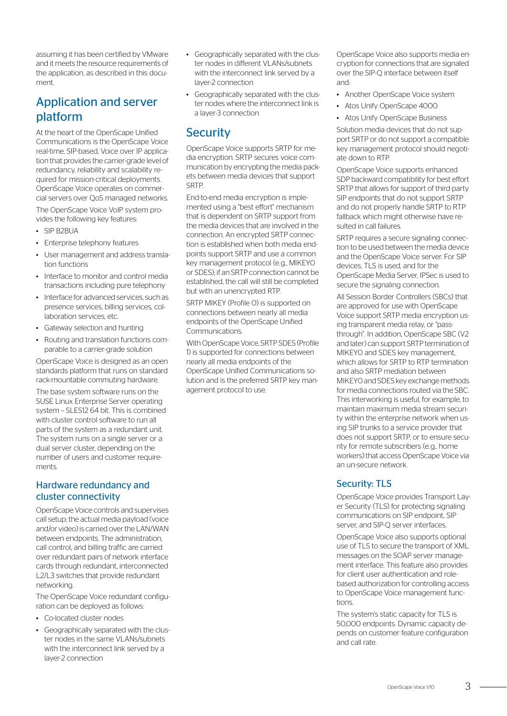assuming it has been certified by VMware and it meets the resource requirements of the application, as described in this document.

# Application and server platform

At the heart of the OpenScape Unified Communications is the OpenScape Voice real-time, SIP-based, Voice over IP application that provides the carrier-grade level of redundancy, reliability and scalability required for mission-critical deployments. OpenScape Voice operates on commercial servers over QoS managed networks. The OpenScape Voice VoIP system provides the following key features:

- SIP B2BUA
- Enterprise telephony features
- User management and address translation functions
- Interface to monitor and control media transactions including pure telephony
- Interface for advanced services, such as presence services, billing services, collaboration services, etc.
- Gateway selection and hunting
- Routing and translation functions comparable to a carrier-grade solution

OpenScape Voice is designed as an open standards platform that runs on standard rack-mountable commuting hardware.

The base system software runs on the SUSE Linux Enterprise Server operating system – SLES12 64 bit. This is combined with cluster control software to run all parts of the system as a redundant unit. The system runs on a single server or a dual server cluster, depending on the number of users and customer requirements.

### Hardware redundancy and cluster connectivity

OpenScape Voice controls and supervises call setup; the actual media payload (voice and/or video) is carried over the LAN/WAN between endpoints. The administration, call control, and billing traffic are carried over redundant pairs of network interface cards through redundant, interconnected L2/L3 switches that provide redundant networking.

The OpenScape Voice redundant configuration can be deployed as follows:

- Co-located cluster nodes
- Geographically separated with the cluster nodes in the same VLANs/subnets with the interconnect link served by a layer-2 connection
- Geographically separated with the cluster nodes in different VLANs/subnets with the interconnect link served by a layer-2 connection
- Geographically separated with the cluster nodes where the interconnect link is a layer-3 connection

# **Security**

OpenScape Voice supports SRTP for media encryption. SRTP secures voice communication by encrypting the media packets between media devices that support **SRTP** 

End-to-end media encryption is implemented using a "best effort" mechanism that is dependent on SRTP support from the media devices that are involved in the connection. An encrypted SRTP connection is established when both media endpoints support SRTP and use a common key management protocol (e.g., MIKEY0 or SDES); if an SRTP connection cannot be established, the call will still be completed but with an unencrypted RTP.

SRTP MIKEY (Profile 0) is supported on connections between nearly all media endpoints of the OpenScape Unified Communications.

With OpenScape Voice, SRTP SDES (Profile 1) is supported for connections between nearly all media endpoints of the OpenScape Unified Communications solution and is the preferred SRTP key management protocol to use.

OpenScape Voice also supports media encryption for connections that are signaled over the SIP-Q interface between itself and:

- Another OpenScape Voice system
- Atos Unify OpenScape 4000
- Atos Unify OpenScape Business

Solution media devices that do not support SRTP or do not support a compatible key management protocol should negotiate down to RTP.

OpenScape Voice supports enhanced SDP backward compatibility for best effort SRTP that allows for support of third-party SIP endpoints that do not support SRTP and do not properly handle SRTP to RTP fallback which might otherwise have resulted in call failures.

SRTP requires a secure signaling connection to be used between the media device and the OpenScape Voice server. For SIP devices, TLS is used, and for the OpenScape Media Server, IPSec is used to secure the signaling connection.

All Session Border Controllers (SBCs) that are approved for use with OpenScape Voice support SRTP media encryption using transparent media relay, or "passthrough". In addition, OpenScape SBC (V2 and later) can support SRTP termination of MIKEY0 and SDES key management, which allows for SRTP to RTP termination and also SRTP mediation between MIKEY0 and SDES key exchange methods for media connections routed via the SBC. This interworking is useful, for example, to maintain maximum media stream security within the enterprise network when using SIP trunks to a service provider that does not support SRTP, or to ensure security for remote subscribers (e.g., home workers) that access OpenScape Voice via an un-secure network.

## Security: TLS

OpenScape Voice provides Transport Layer Security (TLS) for protecting signaling communications on SIP endpoint, SIP server, and SIP-Q server interfaces.

OpenScape Voice also supports optional use of TLS to secure the transport of XML messages on the SOAP server management interface. This feature also provides for client user authentication and rolebased authorization for controlling access to OpenScape Voice management functions.

The system's static capacity for TLS is 50,000 endpoints. Dynamic capacity depends on customer feature configuration and call rate.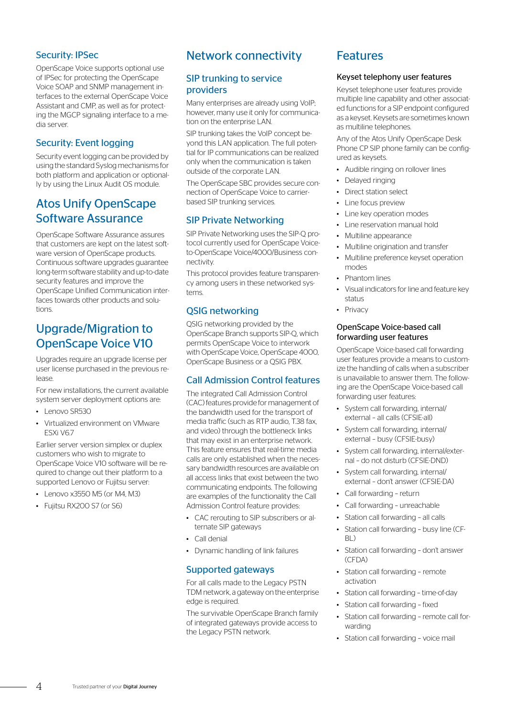# Security: IPSec

OpenScape Voice supports optional use of IPSec for protecting the OpenScape Voice SOAP and SNMP management interfaces to the external OpenScape Voice Assistant and CMP, as well as for protecting the MGCP signaling interface to a media server.

# Security: Event logging

Security event logging can be provided by using the standard Syslog mechanisms for both platform and application or optionally by using the Linux Audit OS module.

# Atos Unify OpenScape Software Assurance

OpenScape Software Assurance assures that customers are kept on the latest software version of OpenScape products. Continuous software upgrades guarantee long-term software stability and up-to-date security features and improve the OpenScape Unified Communication interfaces towards other products and solutions

# Upgrade/Migration to OpenScape Voice V10

Upgrades require an upgrade license per user license purchased in the previous release.

For new installations, the current available system server deployment options are:

- Lenovo SR530
- Virtualized environment on VMware ESXi V6.7

Earlier server version simplex or duplex customers who wish to migrate to OpenScape Voice V10 software will be required to change out their platform to a supported Lenovo or Fujitsu server:

- Lenovo x3550 M5 (or M4, M3)
- Fujitsu RX200 S7 (or S6)

# Network connectivity

## SIP trunking to service providers

Many enterprises are already using VoIP; however, many use it only for communication on the enterprise LAN.

SIP trunking takes the VoIP concept beyond this LAN application. The full potential for IP communications can be realized only when the communication is taken outside of the corporate LAN.

The OpenScape SBC provides secure connection of OpenScape Voice to carrierbased SIP trunking services.

# SIP Private Networking

SIP Private Networking uses the SIP-Q protocol currently used for OpenScape Voiceto-OpenScape Voice/4000/Business connectivity.

This protocol provides feature transparency among users in these networked systems.

# QSIG networking

QSIG networking provided by the OpenScape Branch supports SIP-Q, which permits OpenScape Voice to interwork with OpenScape Voice, OpenScape 4000, OpenScape Business or a QSIG PBX.

## Call Admission Control features

The integrated Call Admission Control (CAC) features provide for management of the bandwidth used for the transport of media traffic (such as RTP audio, T.38 fax, and video) through the bottleneck links that may exist in an enterprise network. This feature ensures that real-time media calls are only established when the necessary bandwidth resources are available on all access links that exist between the two communicating endpoints. The following are examples of the functionality the Call Admission Control feature provides:

- CAC rerouting to SIP subscribers or alternate SIP gateways
- Call denial
- Dynamic handling of link failures

## Supported gateways

For all calls made to the Legacy PSTN TDM network, a gateway on the enterprise edge is required.

The survivable OpenScape Branch family of integrated gateways provide access to the Legacy PSTN network.

# **Features**

#### Keyset telephony user features

Keyset telephone user features provide multiple line capability and other associated functions for a SIP endpoint configured as a keyset. Keysets are sometimes known as multiline telephones.

Any of the Atos Unify OpenScape Desk Phone CP SIP phone family can be configured as keysets.

- Audible ringing on rollover lines
- Delayed ringing
- Direct station select
- Line focus preview
- Line key operation modes
- Line reservation manual hold
- Multiline appearance
- Multiline origination and transfer
- Multiline preference keyset operation modes
- Phantom lines
- Visual indicators for line and feature key status
- Privacy

#### OpenScape Voice-based call forwarding user features

OpenScape Voice-based call forwarding user features provide a means to customize the handling of calls when a subscriber is unavailable to answer them. The following are the OpenScape Voice-based call forwarding user features:

- System call forwarding, internal/ external – all calls (CFSIE-all)
- System call forwarding, internal/ external – busy (CFSIE-busy)
- System call forwarding, internal/external – do not disturb (CFSIE-DND)
- System call forwarding, internal/ external – don't answer (CFSIE-DA)
- Call forwarding return
- Call forwarding unreachable
- Station call forwarding all calls
- Station call forwarding busy line (CF-BL)
- Station call forwarding don't answer (CFDA)
- Station call forwarding remote activation
- Station call forwarding time-of-day
- Station call forwarding fixed
- Station call forwarding remote call forwarding
- Station call forwarding voice mail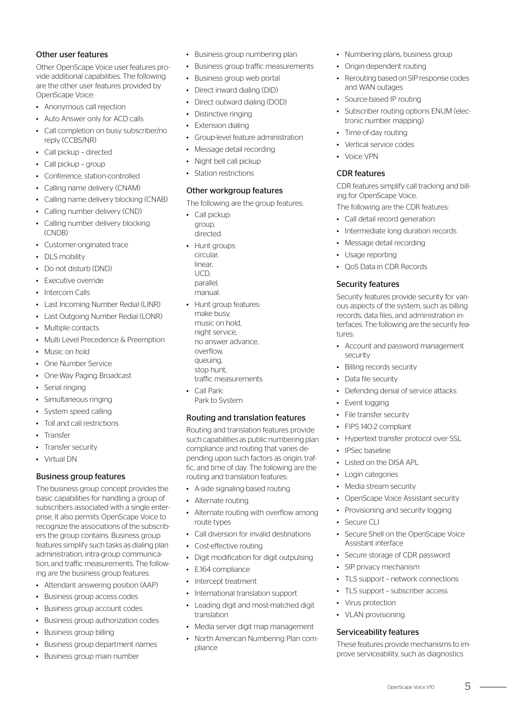### Other user features

Other OpenScape Voice user features provide additional capabilities. The following are the other user features provided by OpenScape Voice:

- Anonymous call rejection
- Auto Answer only for ACD calls
- Call completion on busy subscriber/no reply (CCBS/NR)
- Call pickup directed
- Call pickup group
- Conference, station-controlled
- Calling name delivery (CNAM)
- Calling name delivery blocking (CNAB)
- Calling number delivery (CND)
- Calling number delivery blocking (CNDB)
- Customer-originated trace
- DLS mobility
- Do not disturb (DND)
- Executive override
- Intercom Calls
- Last Incoming Number Redial (LINR)
- Last Outgoing Number Redial (LONR)
- Multiple contacts
- Multi Level Precedence & Preemption
- Music on hold
- One Number Service
- One-Way Paging Broadcast
- Serial ringing
- Simultaneous ringing
- System speed calling
- Toll and call restrictions
- Transfer
- Transfer security
- Virtual DN

#### Business group features

The business group concept provides the basic capabilities for handling a group of subscribers associated with a single enterprise. It also permits OpenScape Voice to recognize the associations of the subscribers the group contains. Business group features simplify such tasks as dialing plan administration, intra-group communication, and traffic measurements. The following are the business group features:

- Attendant answering position (AAP)
- Business group access codes
- Business group account codes
- Business group authorization codes
- Business group billing
- Business group department names
- Business group main number
- Business group numbering plan
- Business group traffic measurements
- Business group web portal
- Direct inward dialing (DID)
- Direct outward dialing (DOD)
- Distinctive ringing
- Extension dialing
- Group-level feature administration
- Message detail recording
- Night bell call pickup
- Station restrictions

#### Other workgroup features

The following are the group features:

- Call pickup: group, directed.
- Hunt groups: circular, linear, UCD, parallel, manual.
- Hunt group features: make busy, music on hold, night service, no answer advance, overflow, queuing, stop hunt, traffic measurements
- Call Park: Park to System

#### Routing and translation features

Routing and translation features provide such capabilities as public numbering plan compliance and routing that varies depending upon such factors as origin, traffic, and time of day. The following are the routing and translation features:

- A-side signaling-based routing
- Alternate routing
- Alternate routing with overflow among route types
- Call diversion for invalid destinations
- Cost-effective routing
- Digit modification for digit outpulsing
- E.164 compliance
- Intercept treatment
- International translation support
- Leading digit and most-matched digit translation
- Media server digit map management
- North American Numbering Plan compliance
- Numbering plans, business group
- Origin-dependent routing
- Rerouting based on SIP response codes and WAN outages
- Source-based IP routing
- Subscriber routing options ENUM (electronic number mapping)
- Time-of-day routing
- Vertical service codes
- Voice VPN

#### CDR features

CDR features simplify call tracking and billing for OpenScape Voice.

- The following are the CDR features:
- Call detail record generation
- Intermediate long duration records
- Message detail recording
- Usage reporting
- QoS Data in CDR Records

#### Security features

Security features provide security for various aspects of the system, such as billing records, data files, and administration interfaces. The following are the security features:

- Account and password management security
- Billing records security
- Data file security
- Defending denial of service attacks
- Event logging
- File transfer security
- FIPS 140-2 compliant
- Hypertext transfer protocol over SSL

• OpenScape Voice Assistant security • Provisioning and security logging

• Secure Shell on the OpenScape Voice

• Secure storage of CDR password

• TLS support – network connections • TLS support – subscriber access

These features provide mechanisms to improve serviceability, such as diagnostics

OpenScape Voice V10 5

• IPSec baseline

• Secure CLI

• Listed on the DISA APL

• Media stream security

Assistant interface

• SIP privacy mechanism

Serviceability features

• Virus protection • VLAN provisioning

• Login categories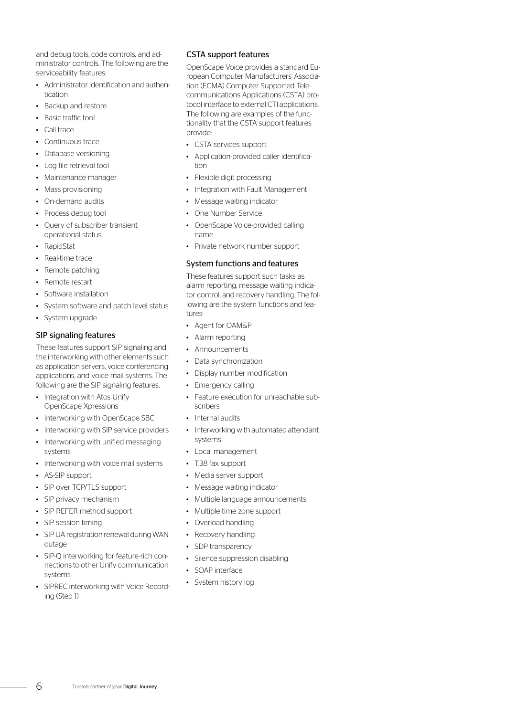and debug tools, code controls, and administrator controls. The following are the serviceability features:

- Administrator identification and authentication
- Backup and restore
- Basic traffic tool
- Call trace
- Continuous trace
- Database versioning
- Log file retrieval tool
- Maintenance manager
- Mass provisioning
- On-demand audits
- Process debug tool
- Query of subscriber transient operational status
- RapidStat
- Real-time trace
- Remote patching
- Remote restart
- Software installation
- System software and patch level status
- System upgrade

### SIP signaling features

These features support SIP signaling and the interworking with other elements such as application servers, voice conferencing applications, and voice mail systems. The following are the SIP signaling features:

- Integration with Atos Unify OpenScape Xpressions
- Interworking with OpenScape SBC
- Interworking with SIP service providers
- Interworking with unified messaging systems
- Interworking with voice mail systems
- AS-SIP support
- SIP over TCP/TLS support
- SIP privacy mechanism
- SIP REFER method support
- SIP session timing
- SIP UA registration renewal during WAN outage
- SIP-Q interworking for feature-rich connections to other Unify communication systems
- SIPREC interworking with Voice Recording (Step 1)

#### CSTA support features

OpenScape Voice provides a standard European Computer Manufacturers' Association (ECMA) Computer Supported Telecommunications Applications (CSTA) protocol interface to external CTI applications. The following are examples of the functionality that the CSTA support features provide:

- CSTA services support
- Application-provided caller identification
- Flexible digit processing
- Integration with Fault Management
- Message waiting indicator
- One Number Service
- OpenScape Voice-provided calling name
- Private network number support

#### System functions and features

These features support such tasks as alarm reporting, message waiting indicator control, and recovery handling. The following are the system functions and features:

- Agent for OAM&P
- Alarm reporting
- Announcements
- Data synchronization
- Display number modification
- Emergency calling
- Feature execution for unreachable subscribers
- Internal audits
- Interworking with automated attendant systems
- Local management
- T.38 fax support
- Media server support
- Message waiting indicator
- Multiple language announcements
- Multiple time zone support
- Overload handling
- Recovery handling
- SDP transparency
- Silence suppression disabling
- SOAP interface
- System history log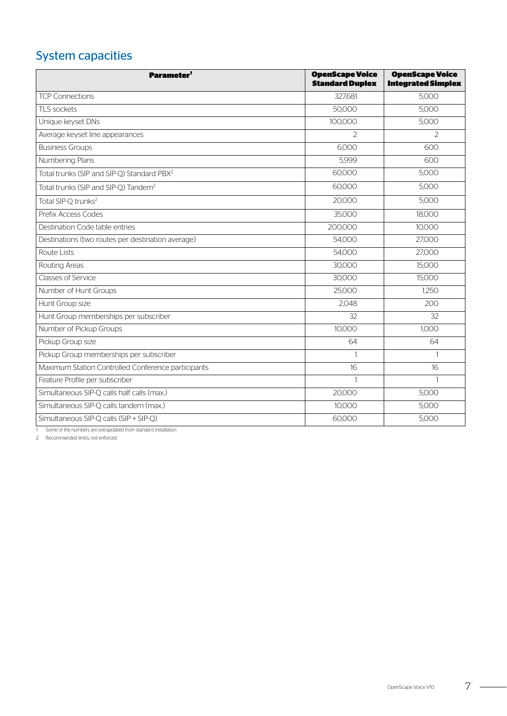# System capacities

| <b>Parameter'</b>                                               | <b>OpenScape Voice</b><br><b>Standard Duplex</b> | <b>OpenScape Voice</b><br><b>Integrated Simplex</b> |
|-----------------------------------------------------------------|--------------------------------------------------|-----------------------------------------------------|
| <b>TCP Connections</b>                                          | 327,681                                          | 5,000                                               |
| TLS sockets                                                     | 50,000                                           | 5,000                                               |
| Unique keyset DNs                                               | 100,000                                          | 5,000                                               |
| Average keyset line appearances                                 | $\overline{2}$                                   | $\mathcal{P}$                                       |
| <b>Business Groups</b>                                          | 6,000                                            | 600                                                 |
| Numbering Plans                                                 | 5,999                                            | 600                                                 |
| Total trunks (SIP and SIP-Q) Standard PBX <sup>2</sup>          | 60,000                                           | 5,000                                               |
| Total trunks (SIP and SIP-Q) Tandem <sup>2</sup>                | 60,000                                           | 5,000                                               |
| Total SIP-Q trunks <sup>2</sup>                                 | 20,000                                           | 5,000                                               |
| Prefix Access Codes                                             | 35,000                                           | 18,000                                              |
| Destination Code table entries                                  | 200,000                                          | 10,000                                              |
| Destinations (two routes per destination average)               | 54,000                                           | 27,000                                              |
| Route Lists                                                     | 54,000                                           | 27,000                                              |
| Routing Areas                                                   | 30,000                                           | 15,000                                              |
| Classes of Service                                              | 30,000                                           | 15,000                                              |
| Number of Hunt Groups                                           | 25,000                                           | 1,250                                               |
| Hunt Group size                                                 | 2,048                                            | 200                                                 |
| Hunt Group memberships per subscriber                           | 32                                               | 32                                                  |
| Number of Pickup Groups                                         | 10,000                                           | 1,000                                               |
| Pickup Group size                                               | 64                                               | 64                                                  |
| Pickup Group memberships per subscriber                         | $\mathbf{1}$                                     | $\mathbf{1}$                                        |
| Maximum Station Controlled Conference participants              | 16                                               | 16                                                  |
| Feature Profile per subscriber                                  | $\mathbf{1}$                                     | $\mathbf{1}$                                        |
| Simultaneous SIP-Q calls half calls (max.)                      | 20,000                                           | 5,000                                               |
| Simultaneous SIP-Q calls tandem (max.)                          | 10,000                                           | 5,000                                               |
| Simultaneous SIP-Q calls (SIP + SIP-Q)                          | 60,000                                           | 5,000                                               |
| Some of the numbers are extrapolated from standard installation |                                                  |                                                     |

<span id="page-6-0"></span>2 Recommended limits, not enforced